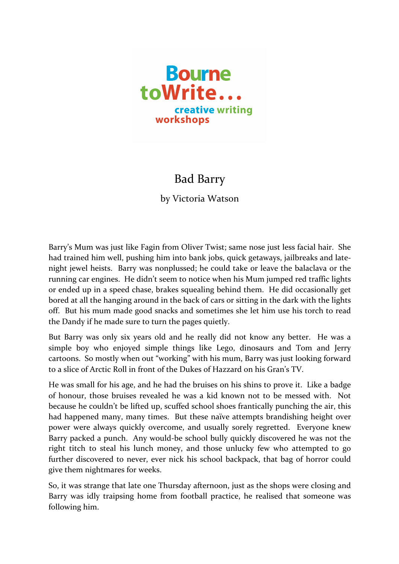

## Bad Barry

by Victoria Watson

Barry's Mum was just like Fagin from Oliver Twist; same nose just less facial hair. She had trained him well, pushing him into bank jobs, quick getaways, jailbreaks and latenight jewel heists. Barry was nonplussed; he could take or leave the balaclava or the running car engines. He didn't seem to notice when his Mum jumped red traffic lights or ended up in a speed chase, brakes squealing behind them. He did occasionally get bored at all the hanging around in the back of cars or sitting in the dark with the lights off. But his mum made good snacks and sometimes she let him use his torch to read the Dandy if he made sure to turn the pages quietly.

But Barry was only six years old and he really did not know any better. He was a simple boy who enjoyed simple things like Lego, dinosaurs and Tom and Jerry cartoons. So mostly when out "working" with his mum, Barry was just looking forward to a slice of Arctic Roll in front of the Dukes of Hazzard on his Gran's TV.

He was small for his age, and he had the bruises on his shins to prove it. Like a badge of honour, those bruises revealed he was a kid known not to be messed with. Not because he couldn't be lifted up, scuffed school shoes frantically punching the air, this had happened many, many times. But these naïve attempts brandishing height over power were always quickly overcome, and usually sorely regretted. Everyone knew Barry packed a punch. Any would-be school bully quickly discovered he was not the right titch to steal his lunch money, and those unlucky few who attempted to go further discovered to never, ever nick his school backpack, that bag of horror could give them nightmares for weeks.

So, it was strange that late one Thursday afternoon, just as the shops were closing and Barry was idly traipsing home from football practice, he realised that someone was following him.